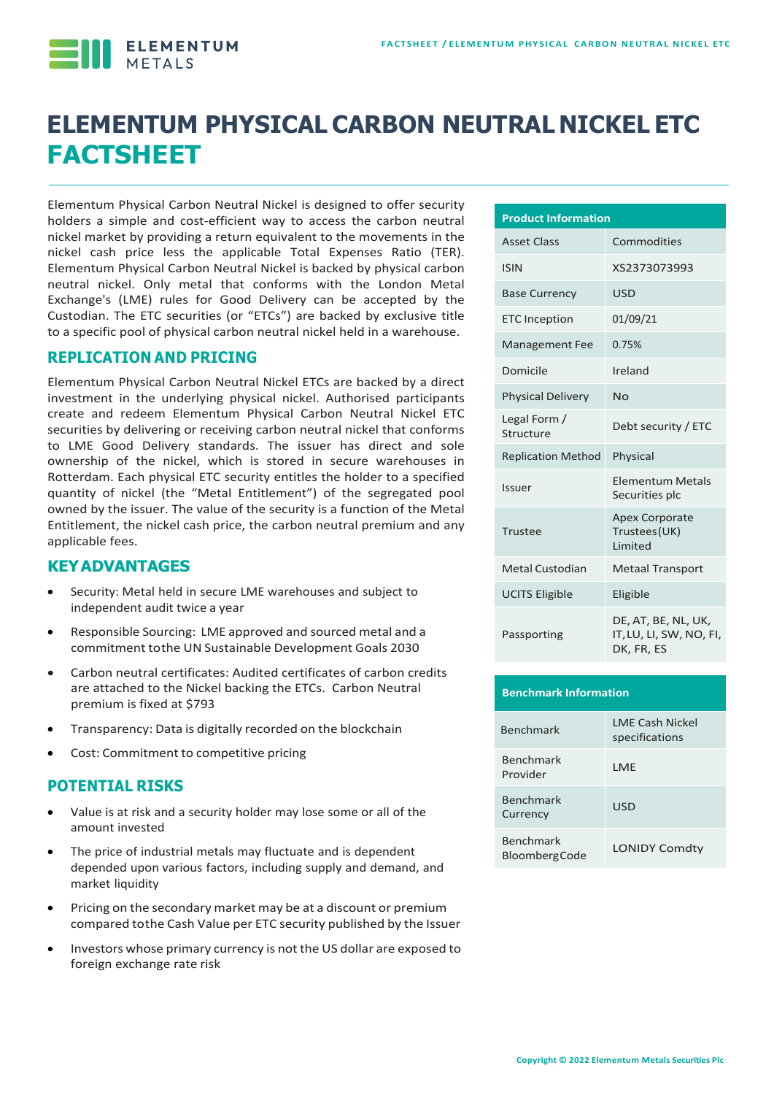

# **ELEMENTUM PHYSICALCARBON NEUTRAL NICKEL ETC FACTSHEET**

Elementum Physical Carbon Neutral Nickel is designed to offer security holders a simple and cost-efficient way to access the carbon neutral nickel market by providing a return equivalent to the movements in the nickel cash price less the applicable Total Expenses Ratio (TER). Elementum Physical Carbon Neutral Nickel is backed by physical carbon neutral nickel. Only metal that conforms with the London Metal Exchange's (LME) rules for Good Delivery can be accepted by the Custodian. The ETC securities (or "ETCs") are backed by exclusive title to a specific pool of physical carbon neutral nickel held in a warehouse.

#### **REPLICATION AND PRICING**

Elementum Physical Carbon Neutral Nickel ETCs are backed by a direct investment in the underlying physical nickel. Authorised participants create and redeem Elementum Physical Carbon Neutral Nickel ETC securities by delivering or receiving carbon neutral nickel that conforms to LME Good Delivery standards. The issuer has direct and sole ownership of the nickel, which is stored in secure warehouses in Rotterdam. Each physical ETC security entitles the holder to a specified quantity of nickel (the "Metal Entitlement") of the segregated pool owned by the issuer. The value of the security is a function of the Metal Entitlement, the nickel cash price, the carbon neutral premium and any applicable fees.

#### **KEYADVANTAGES**

- Security: Metal held in secure LME warehouses and subject to independent audit twice a year
- Responsible Sourcing: LME approved and sourced metal and a commitment tothe UN Sustainable Development Goals 2030
- Carbon neutral certificates: Audited certificates of carbon credits are attached to the Nickel backing the ETCs. Carbon Neutral premium is fixed at \$793
- Transparency: Data is digitally recorded on the blockchain
- Cost: Commitment to competitive pricing

#### **POTENTIAL RISKS**

- Value is at risk and a security holder may lose some or all of the amount invested
- The price of industrial metals may fluctuate and is dependent depended upon various factors, including supply and demand, and market liquidity
- Pricing on the secondary market may be at a discount or premium compared tothe Cash Value per ETC security published by the Issuer
- Investors whose primary currency is not the US dollar are exposed to foreign exchange rate risk

| <b>Product Information</b> |                                                              |  |  |  |  |
|----------------------------|--------------------------------------------------------------|--|--|--|--|
| <b>Asset Class</b>         | Commodities                                                  |  |  |  |  |
| <b>ISIN</b>                | XS2373073993                                                 |  |  |  |  |
| <b>Base Currency</b>       | USD                                                          |  |  |  |  |
| <b>ETC Inception</b>       | 01/09/21                                                     |  |  |  |  |
| <b>Management Fee</b>      | 0.75%                                                        |  |  |  |  |
| Domicile                   | Ireland                                                      |  |  |  |  |
| <b>Physical Delivery</b>   | No                                                           |  |  |  |  |
| Legal Form /<br>Structure  | Debt security / ETC                                          |  |  |  |  |
| <b>Replication Method</b>  | Physical                                                     |  |  |  |  |
| Issuer                     | <b>Elementum Metals</b><br>Securities plc                    |  |  |  |  |
| Trustee                    | <b>Apex Corporate</b><br>Trustees (UK)<br><b>Limited</b>     |  |  |  |  |
| <b>Metal Custodian</b>     | <b>Metaal Transport</b>                                      |  |  |  |  |
| <b>UCITS Eligible</b>      | Eligible                                                     |  |  |  |  |
| Passporting                | DE, AT, BE, NL, UK,<br>IT, LU, LI, SW, NO, FI,<br>DK, FR, ES |  |  |  |  |

| <b>Benchmark Information</b>             |                                          |  |  |  |
|------------------------------------------|------------------------------------------|--|--|--|
| <b>Benchmark</b>                         | <b>LMF Cash Nickel</b><br>specifications |  |  |  |
| <b>Benchmark</b><br>Provider             | I MF                                     |  |  |  |
| <b>Benchmark</b><br>Currency             | USD                                      |  |  |  |
| <b>Benchmark</b><br><b>BloombergCode</b> | <b>LONIDY Comdty</b>                     |  |  |  |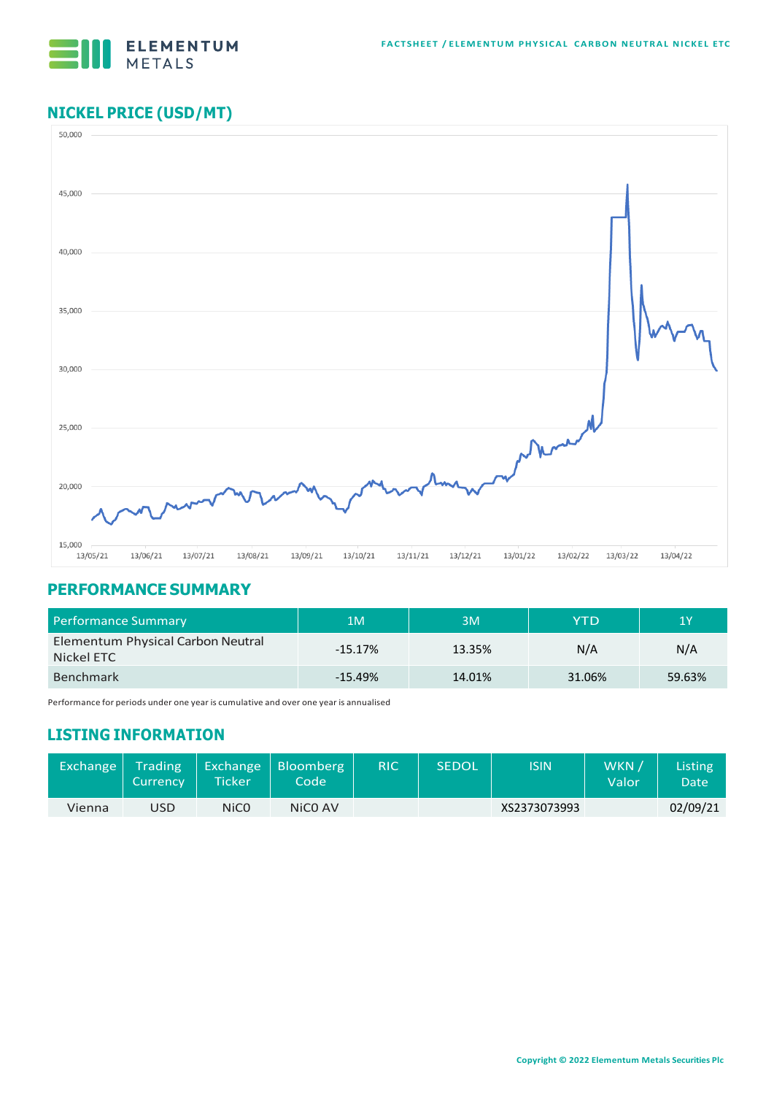

# **NICKEL PRICE (USD/MT)**



#### **PERFORMANCE SUMMARY**

| <b>Performance Summary</b>                      | 1M        | 3M     | YTD    | 1Y     |  |
|-------------------------------------------------|-----------|--------|--------|--------|--|
| Elementum Physical Carbon Neutral<br>Nickel ETC | $-15.17%$ | 13.35% | N/A    | N/A    |  |
| <b>Benchmark</b>                                | $-15.49%$ | 14.01% | 31.06% | 59.63% |  |

Performance for periods under one year is cumulative and over one year is annualised

## **LISTING INFORMATION**

| Exchange | Trading<br>Currency | <b>Ticker</b> | Exchange   Bloomberg 1<br>Code \ | <b>RIC</b> | <b>SEDOL</b> | <b>ISIN</b>  | WKN /<br>Valor | Listing<br>Date' |
|----------|---------------------|---------------|----------------------------------|------------|--------------|--------------|----------------|------------------|
| Vienna   | USD                 | NiC0          | NiCO AV                          |            |              | XS2373073993 |                | 02/09/21         |